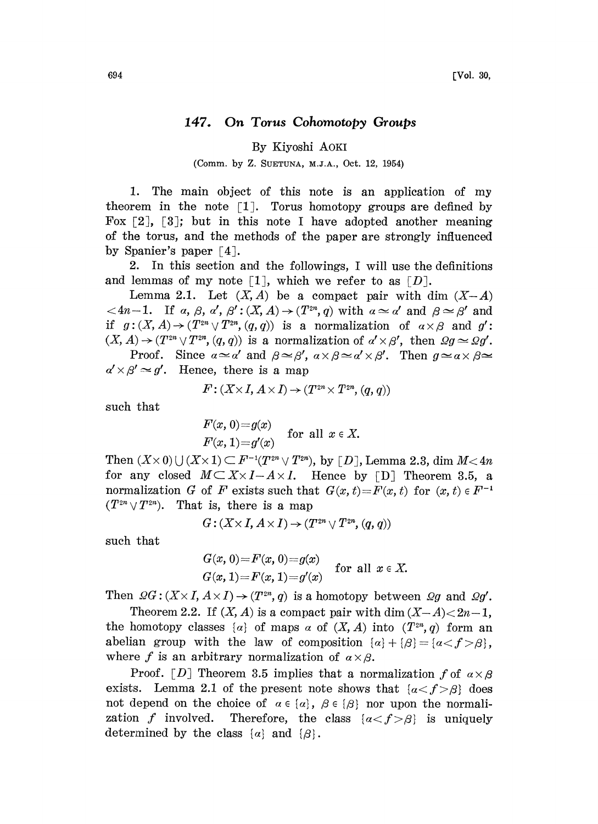## 147. On Torus Cohomotopy Groups

By Kiyoshi AOKI

(Comm. by Z. SUETUNA, M.J.A., Oct. 12, 1954)

1. The main object of this note is an application of my theorem in the note  $\lceil 1 \rceil$ . Torus homotopy groups are defined by Fox  $\lceil 2 \rceil$ ,  $\lceil 3 \rceil$ ; but in this note I have adopted another meaning of the torus, and the methods of the paper are strongly influenced by Spanier's paper  $\lceil 4 \rceil$ .

2. In this section and the followings, I will use the definitions and lemmas of my note  $\lceil 1 \rceil$ , which we refer to as  $\lceil D \rceil$ .

Lemma 2.1. Let  $(X, A)$  be a compact pair with dim  $(X-A)$  $\langle 4n-1.$  If a,  $\beta$ , a',  $\beta' : (X, A) \rightarrow (T^{2n}, q)$  with  $\alpha \simeq \alpha'$  and  $\beta \simeq \beta'$  and if  $g:(X, A) \rightarrow (T^{2n} \vee T^{2n}, (q, q))$  is a normalization of  $\alpha \times \beta$  and  $g'$ :  $(X, A) \rightarrow (T^{2n} \vee T^{2n}, (q, q))$  is a normalization of  $a' \times \beta'$ , then  $\Omega g \simeq \Omega g'$ .  $P(X, A) \to (T^{2n} \vee T^{2n}, (q, q))$  is a normalization of  $\alpha \times \beta$  and  $g'$ :<br>  $P(X, A) \to (T^{2n} \vee T^{2n}, (q, q))$  is a normalization of  $\alpha' \times \beta'$ , then  $\Omega g \simeq \Omega g'$ .<br>
Proof. Since  $\alpha \simeq \alpha'$  and  $\beta \simeq \beta'$ ,  $\alpha \times \beta \simeq \alpha' \times \beta'$ . Th

Proof. Since  $a \simeq a'$  and  $\beta \simeq \beta'$ ,<br> $a' \times \beta' \simeq g'$ . Hence, there is a map

$$
F: (X \times I, A \times I) \rightarrow (T^{2n} \times T^{2n}, (q, q))
$$

such that

$$
F(x, 0)=g(x)
$$
  
for all  $x \in X$ .  

$$
F(x, 1)=g'(x)
$$

Then  $(X \times 0) \cup (X \times 1) \subset F^{-1}(T^{2n} \vee T^{2n})$ , by [D], Lemma 2.3, dim  $M < 4n$ for any closed  $M\subset X\times I-A\times I$ . Hence by [D] Theorem 3.5, a normalization G of F exists such that  $G(x, t)=F(x, t)$  for  $(x, t) \in F^{-1}$  $(T^{2n} \vee T^{2n})$ . That is, there is a map

$$
G:(X\times I,\, A\times I)\to (T^{2n}\vee T^{2n},(q,\,q))
$$

such that

$$
G(x, 0) = F(x, 0) = g(x)
$$
 for all  $x \in X$ .  
\n $G(x, 1) = F(x, 1) = g'(x)$  for all  $x \in X$ .

Then  $\mathcal{Q}G$ :  $(X \times I, A \times I) \rightarrow (T^{2n}, q)$  is a homotopy between  $\mathcal{Q}g$  and  $\mathcal{Q}g'$ .

Theorem 2.2. If  $(X, A)$  is a compact pair with dim  $(X-A) < 2n-1$ , the homotopy classes  $\{\alpha\}$  of maps  $\alpha$  of  $(X, A)$  into  $(T^{2n}, q)$  form an abelian group with the law of composition  $\{\alpha\} + {\{\beta\}} = {\{\alpha < f > \beta\}},$ where f is an arbitrary normalization of  $\alpha \times \beta$ .

Proof. [D] Theorem 3.5 implies that a normalization f of  $a \times a$ exists. Lemma 2.1 of the present note shows that  $\{a \le f > \beta\}$  does not depend on the choice of  $\alpha \in \{\alpha\}$ ,  $\beta \in \{\beta\}$  nor upon the normalization f involved. Therefore, the class  $\{\alpha < f > \beta\}$  is uniquely determined by the class  $\{\alpha\}$  and  $\{\beta\}.$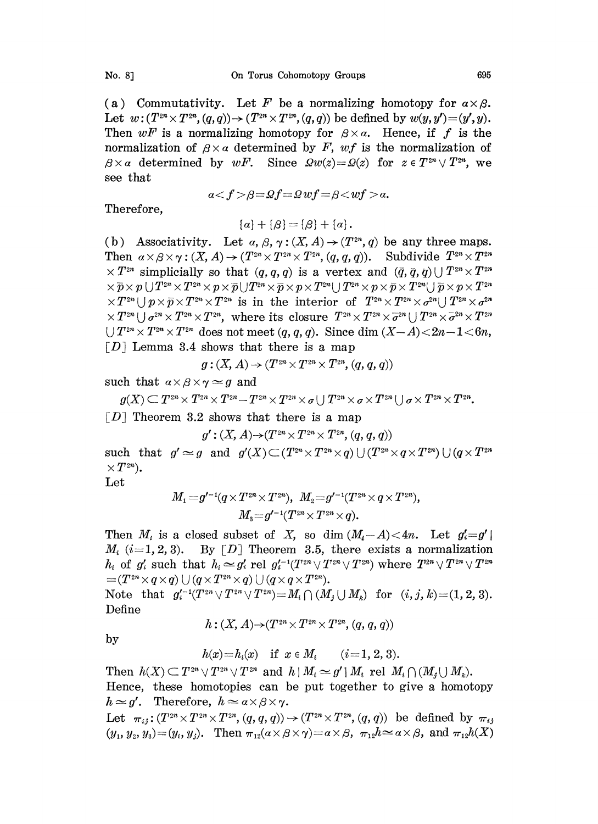(a) Commutativity. Let F be a normalizing homotopy for  $a \times \beta$ . Let  $w: (T^{2n} \times T^{2n}, (q,q)) \to (T^{2n} \times T^{2n}, (q,q))$  be defined by  $w(y, y') = (y', y)$ . Then  $wF$  is a normalizing homotopy for  $\beta \times \alpha$ . Hence, if f is the normalization of  $\beta \times \alpha$  determined by F, wf is the normalization of  $\beta \times \alpha$  determined by wF. Since  $\Omega w(z) = \Omega(z)$  for  $z \in T^{2n} \vee T^{2n}$ , we see that

 $a < f > \beta = \Omega f = \Omega wf = \beta < wf > a.$ 

Therefore,

 $\{\alpha\} + \{\beta\} = \{\beta\} + \{\alpha\}.$ 

(b) Associativity. Let  $\alpha$ ,  $\beta$ ,  $\gamma$ :  $(X, A) \rightarrow (T^{2n}, q)$  be any three maps. Then  $\alpha \times \beta \times \gamma : (X, A) \to (T^{2n} \times T^{2n} \times T^{2n}, (q, q, q))$ . Subdivide  $T^{2n} \times T$ <br> $\times T^{2n}$  simplicially so that  $(q, q, q)$  is a vertex and  $(\bar{q}, \bar{q}, \bar{q}) \cup T^{2n} \times T$  $\{a\} + \{\beta\} = \{\beta\} + \{\alpha\}.$ <br>
(b) Associativity. Let  $\alpha, \beta, \gamma : (X, A) \rightarrow (T^{2n}, q)$  be any three map<br>
Fhen  $\alpha \times \beta \times \gamma : (X, A) \rightarrow (T^{2n} \times T^{2n} \times T^{2n}, (q, q, q)).$  Subdivide  $T^{2n} \times T$ <br>  $\times T^{2n}$  simplicially so that  $(q, q, q)$  is a vertex  $\times T^{2n} \cup p \times \overline{p} \times T^{2n} \times T^{2n}$  is in the interior of  $T^{2n} \times T^{2n} \times \sigma^{2n} \cup T^{2n} \times \sigma^{2n}$  $\overline{X}T^{2n} \cup \sigma^{2n} \overline{X}T^{2n} \times T^{2n}$ , where its closure  $T^{2n} \overline{X}T^{2n} \times \overline{\sigma}^{2n} \cup T^{2n} \overline{X}T^{2n} \times T^{2n}$  $\Box$   $T^{2n} \times T^{2n} \times T^{2n}$  does not meet  $(q, q, q)$ . Since dim  $(X-A) < 2n-1 < 6n$ ,  $[D]$  Lemma 3.4 shows that there is a map

$$
g:(X,A)\mathop{\rightarrow} (T^{2n}\times T^{2n}\times T^{2n},(q,q,q))
$$

such that  $\alpha \times \beta \times \gamma \simeq g$  and

$$
g(X) \subseteq T^{2n} \times T^{2n} \times T^{2n} \times T^{2n} \times \sigma \cup T^{2n} \times \sigma \times T^{2n} \cup \sigma \times T^{2n} \times T^{2n}.
$$
  
\n[D] Theorem 3.2 shows that there is a map  
\n
$$
g': (X, A) \rightarrow (T^{2n} \times T^{2n} \times T^{2n}, (q, q, q))
$$

$$
g': (X, A) \rightarrow (T^{2n} \times T^{2n} \times T^{2n}, (q, q, q))
$$

such that  $g' \simeq g$  and  $g'(X) \subset (T^{2n} \times T^{2n} \times g) \cup (T^{2n} \times q \times T^{2n}) \cup (q \times T^{2n} \times g)$  $\times T^{2n}$ ).

Let

$$
M_1\!=\!g'^{-1}(q\!\times\!T^{2n}\!\times\!T^{2n}),\,\,M_2\!=\!g'^{-1}(T^{2n}\!\times\!q\!\times\!T^{2n}),\\ M_3\!=\!g'^{-1}(T^{2n}\!\times\!T^{2n}\!\times\!q).
$$

Then  $M_i$  is a closed subset of X, so dim  $(M_i-A) < 4n$ . Let  $g'_i = g'$  $M_i$  (i=1, 2, 3). By [D] Theorem 3.5, there exists a normalization  $h_i$  of  $g'_i$  such that  $h_i \simeq g'_i$  rel  $g'_i{}^{-1}(T^{2n}\vee T^{2n}\vee T^{2n})$  where  $T^{2n}\vee T^{2n}\vee T^{2n}$  $=(T^{2n}\times q\times q) \cup (q\times T^{2n}\times q) \cup (q\times q\times T^{2n}).$ 

Note that  $g_{i}^{(-1)}(T^{2n}\vee T^{2n}\vee T^{2n})=M_{i}\cap (M_{j}\cup M_{k})$  for  $(i, j, k)=(1, 2, 3).$ Define  $h: (X, A) {\rightarrow} (T^{2n} {\times} T^{2n} {\times} T^{2n} , (q, q, q))$ 

$$
h: (X, A) \rightarrow (T^{2n} \times T^{2n} \times T^{2n}, (q, q, q))
$$

by

$$
h(x)=h_i(x)
$$
 if  $x \in M_i$   $(i=1, 2, 3).$ 

Then  $h(X) \subset T^{2n} \vee T^{2n} \vee T^{2n}$  and  $h \mid M_i \simeq g' \mid M_i$  rel  $M_i \cap (M_i \cup M_k)$ . Hence, these homotopies can be put together to give a homotopy  $h \approx g'$ . Therefore,  $h \approx a \times \beta \times \gamma$ .

Let  $\pi_{ij}: (T^{2n}\times T^{2n}\times T^{2n}, (q, q, q)) \to (T^{2n}\times T^{2n}, (q, q))$  be defined by  $\pi_{ij}$ <br>  $(y_1, y_2, y_3) = (y_i, y_j)$ . Then  $\pi_{12}(\alpha\times\beta\times\gamma) = \alpha\times\beta$ ,  $\pi_{12}h \simeq \alpha\times\beta$ , and  $\pi_{12}h(X)$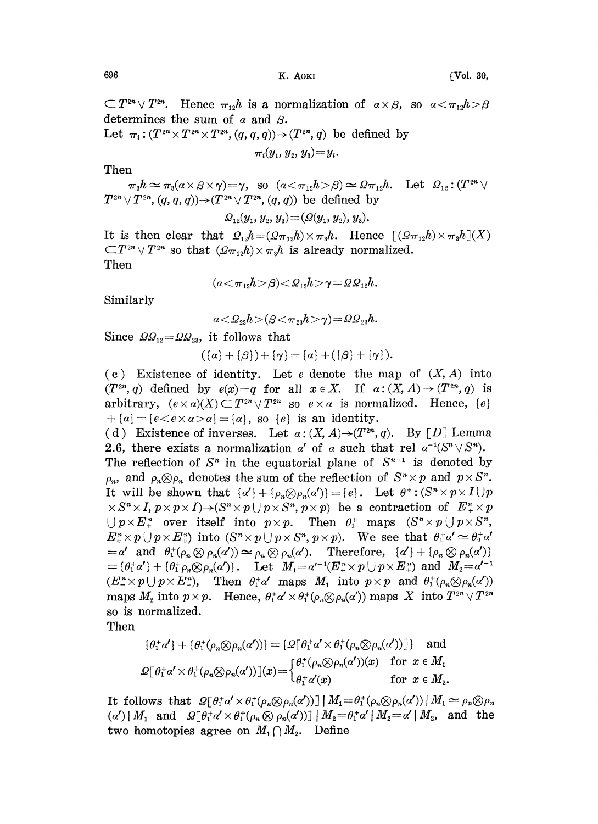$\sim$  K. AOKI [Vol. 30,

 $T^{2n} \vee T^{2n}$ . Hence  $\pi_{12}h$  is a normalization of  $\alpha \times \beta$ , so determines the sum of  $\alpha$  and  $\beta$ .

Let  $\pi_i : (T^{2n} \times T^{2n} \times T^{2n}, (q, q, q)) \rightarrow (T^{2n}, q)$  be defined by

 $\pi_i(y_1, y_2, y_3)=y_i.$ 

Then

 $\pi_{3}h \simeq \pi_{3}(\alpha \times \beta \times \gamma) = \gamma$ , so  $(\alpha \leq \pi_{12}h > \beta) \simeq \Omega \pi_{12}h$ . Let  $\Omega_{12}:(T^{2n}\vee$  $T^{2n} \vee T^{2n}$ ,  $(q, q, q)$ ) $\rightarrow$   $(T^{2n} \vee T^{2n}$ ,  $(q, q)$ ) be defined by

 $Q_{12}(y_1, y_2, y_3) = (Q(y_1, y_2), y_3).$ 

It is then clear that  $\mathcal{Q}_{12}h=(\mathcal{Q}_{\pi_{12}}h)\times \pi_3h$ . Hence  $[(\mathcal{Q}_{\pi_{12}}h)\times \pi_3h](X)$ is then clear that  $\mathcal{L}_{12}n = (\mathcal{Q}\pi_{12}n) \times \pi_3n$ . Hence  $(2\mathcal{Q}\pi_{12}n) \times \pi_3n$  is already normalized. Then

$$
(a \! < \! \pi_{12} h \! > \! \beta) \! < \! \mathcal{Q}_{12} h \! > \! \gamma \! = \! \varOmega \varOmega_{12} h.
$$

Similarly

 $\alpha < Q_{23}h > (\beta < \pi_{23}h > \gamma) = \Omega Q_{23}h.$ 

Since  $\Omega_{2_{12}} = \Omega_{2_{23}}$ , it follows that

$$
(\{\alpha\} + \{\beta\}) + \{\gamma\} = \{\alpha\} + (\{\beta\} + \{\gamma\}).
$$

(c) Existence of identity. Let e denote the map of  $(X, A)$  into  $(T^{2n}, q)$  defined by  $e(x)=q$  for all  $x \in X$ . If  $\alpha: (X, A) \rightarrow (T^{2n}, q)$  is arbitrary,  $(e \times a)(X) \subset T^{2n} \vee T^{2n}$  so  $e \times a$  is normalized. Hence,  $\{e\}$  $+ \{\alpha\} = \{e \lt e \times \alpha > \alpha\} = \{\alpha\},$  so  $\{e\}$  is an identity.

(d) Existence of inverses. Let  $\alpha: (X, A) \rightarrow (T^{2n}, q)$ . By [D] Lemma 2.6, there exists a normalization  $\alpha'$  of  $\alpha$  such that rel  $\alpha^{-1}(S^n \vee S^n)$ . The reflection of  $S<sup>n</sup>$  in the equatorial plane of  $S<sup>n-1</sup>$  is denoted by The reflection of  $S^n$  in the equatorial plane of  $S^{n-1}$  is denoted by  $\rho_n$ , and  $\rho_n \otimes \rho_n$  denotes the sum of the reflection of  $S^n \times p$  and  $p \times S^n$ . It will be shown that  $\{\alpha'\} + \{\rho_n \otimes \rho_n(\alpha')\} = \{e\}.$  Let  $\theta^+ : (S^n \times p \times I \cup p)$  $S \times S^{n} \times I$ ,  $p \times p \times I$ ) $\rightarrow$ ( $S^{n} \times p \cup p \times S^{n}$ ,  $p \times p$ ) be a contraction of  $E_{+}^{n} \times p$  $\bigcup p \times E^n$  over itself into  $p \times p$ . Then  $\theta_1^+$  maps  $(S^n \times p \cup p \times S^n)$ ,  $E_{\tau}^{n} \times p \cup p \times E_{\tau}^{n}$  into  $(S^{n} \times p \cup p \times S^{n}, p \times p)$ . We see that  $\theta_{1}^{+} \alpha' \simeq \theta_{0}^{+} \alpha'$  $=\alpha'$  and  $\theta_1^+(\rho_n\otimes\rho_n(\alpha')) \simeq \rho_n\otimes\rho_n(\alpha').$  Therefore,  $\{\alpha'\} + \{\rho_n\otimes\rho_n(\alpha')\}$  $\{\theta_1^* \alpha'\} + \{\theta_1^* \rho_n \otimes \rho_n(\alpha')\}.$  Let  $M_1 = \alpha'^{-1}(E_+^* \times p \cup p \times E_+^*)$  and  $M_2 = \alpha'^{-1}$  $(E_{\alpha}^{n} \times p \cup p \times E_{\alpha}^{n})$ , Then  $\theta_{1}^{+} \alpha'$  maps  $M_{1}$  into  $p \times p$  and  $\theta_{1}^{+}(\rho_{n} \otimes \rho_{n}(\alpha'))$ maps  $M_2$  into  $p \times p$ . Hence,  $\theta_i^* \alpha' \times \theta_i^* (\rho_n \otimes \rho_n(\alpha'))$  maps X into  $T^{2n} \vee T^{2n}$ so is normalized.

Then

$$
\{\theta_1^+ \alpha' \} + \{\theta_1^+ (\rho_n \otimes \rho_n(\alpha')) \} = \{\Omega[\theta_1^+ \alpha' \times \theta_1^+ (\rho_n \otimes \rho_n(\alpha'))] \} \text{ and }
$$
  

$$
\Omega[\theta_1^+ \alpha' \times \theta_1^+ (\rho_n \otimes \rho_n(\alpha'))](x) = \begin{cases} \theta_1^+ (\rho_n \otimes \rho_n(\alpha'))(x) & \text{for } x \in M_1 \\ \theta_1^+ \alpha'(x) & \text{for } x \in M_2. \end{cases}
$$

It follows that  $\mathcal{Q}[\theta_1^* \alpha' \times \theta_1^* (\rho_n \otimes \rho_n(\alpha'))] |M_1 = \theta_1^* (\rho_n \otimes \rho_n(\alpha')) |M_1 \simeq \rho_n \otimes \rho_n$  $\mathcal{A}(\alpha')\,|\,M_1$  and  $\mathcal{Q}\lceil \theta_1^*\alpha'\times\theta_1^*(\rho_n\otimes\rho_n(\alpha'))\rceil\,|\,M_2\equiv\theta_1^*\alpha'\,|\,M_2\equiv\alpha'\,|\,M_2$ , and the two homotopies agree on  $M_1 \cap M_2$ . Define